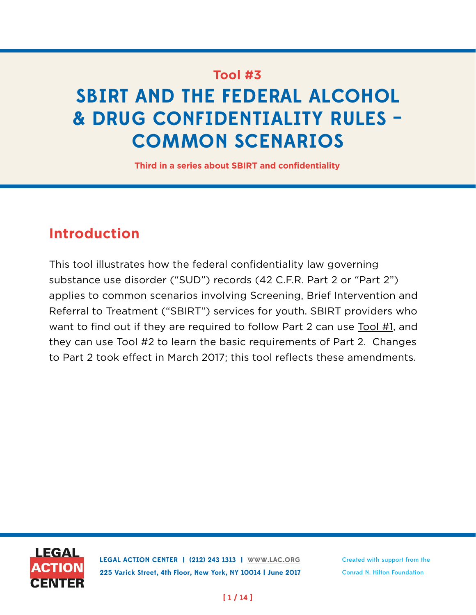## **Tool #3**

# **SBIRT AND THE FEDERAL ALCOHOL & DRUG CONFIDENTIALITY RULES – COMMON SCENARIOS**

**Third in a series about SBIRT and confidentiality**

## **Introduction**

This tool illustrates how the federal confidentiality law governing substance use disorder ("SUD") records (42 C.F.R. Part 2 or "Part 2") applies to common scenarios involving Screening, Brief Intervention and Referral to Treatment ("SBIRT") services for youth. SBIRT providers who want to find out if they are required to follow Part 2 can use [Tool #1,](https://lac.org/wp-content/uploads/2016/11/SBIRT_Tool1_FactSheet-1.pdf) and they can use [Tool #2](https://lac.org/wp-content/uploads/2017/03/SBIRT_Tool2.pdf) to learn the basic requirements of Part 2. Changes to Part 2 took effect in March 2017; this tool reflects these amendments.



**LEGAL ACTION CENTER | (212) 243 1313 | [WWW.LAC.ORG](http://WWW.LAC.ORG) 225 Varick Street, 4th Floor, New York, NY 10014 | June 2017** Created with support from the Conrad N. Hilton Foundation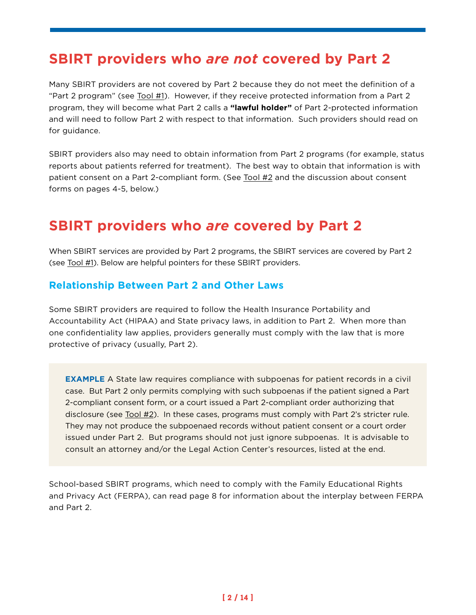## **SBIRT providers who** *are not* **covered by Part 2**

Many SBIRT providers are not covered by Part 2 because they do not meet the definition of a "Part 2 program" (see [Tool #1](https://lac.org/wp-content/uploads/2016/11/SBIRT_Tool1_FactSheet-1.pdf)). However, if they receive protected information from a Part 2 program, they will become what Part 2 calls a **"lawful holder"** of Part 2-protected information and will need to follow Part 2 with respect to that information. Such providers should read on for guidance.

SBIRT providers also may need to obtain information from Part 2 programs (for example, status reports about patients referred for treatment). The best way to obtain that information is with patient consent on a Part 2-compliant form. (See [Tool #2](https://lac.org/wp-content/uploads/2017/03/SBIRT_Tool2.pdf) and the discussion about consent forms on pages 4-5, below.)

## **SBIRT providers who** *are* **covered by Part 2**

When SBIRT services are provided by Part 2 programs, the SBIRT services are covered by Part 2 (see [Tool #1](https://lac.org/wp-content/uploads/2016/11/SBIRT_Tool1_FactSheet-1.pdf)). Below are helpful pointers for these SBIRT providers.

### **Relationship Between Part 2 and Other Laws**

Some SBIRT providers are required to follow the Health Insurance Portability and Accountability Act (HIPAA) and State privacy laws, in addition to Part 2. When more than one confidentiality law applies, providers generally must comply with the law that is more protective of privacy (usually, Part 2).

**EXAMPLE** A State law requires compliance with subpoenas for patient records in a civil case. But Part 2 only permits complying with such subpoenas if the patient signed a Part 2-compliant consent form, or a court issued a Part 2-compliant order authorizing that disclosure (see [Tool #2\)](https://lac.org/wp-content/uploads/2017/03/SBIRT_Tool2.pdf). In these cases, programs must comply with Part 2's stricter rule. They may not produce the subpoenaed records without patient consent or a court order issued under Part 2. But programs should not just ignore subpoenas. It is advisable to consult an attorney and/or the Legal Action Center's resources, listed at the end.

School-based SBIRT programs, which need to comply with the Family Educational Rights and Privacy Act (FERPA), can read page 8 for information about the interplay between FERPA and Part 2.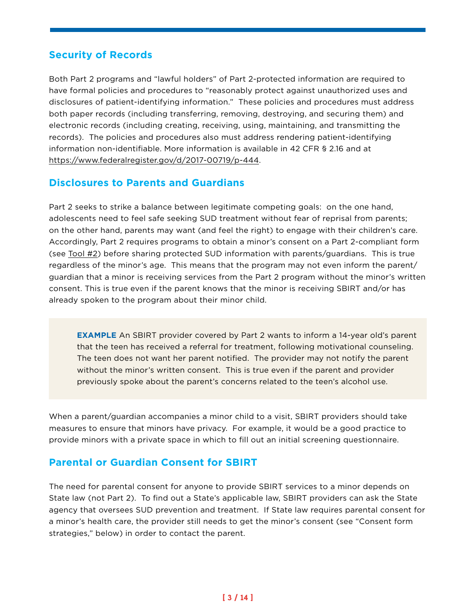## **Security of Records**

Both Part 2 programs and "lawful holders" of Part 2-protected information are required to have formal policies and procedures to "reasonably protect against unauthorized uses and disclosures of patient-identifying information." These policies and procedures must address both paper records (including transferring, removing, destroying, and securing them) and electronic records (including creating, receiving, using, maintaining, and transmitting the records). The policies and procedures also must address rendering patient-identifying information non-identifiable. More information is available in 42 CFR § 2.16 and at <https://www.federalregister.gov/d/2017-00719/p-444>.

### **Disclosures to Parents and Guardians**

Part 2 seeks to strike a balance between legitimate competing goals: on the one hand, adolescents need to feel safe seeking SUD treatment without fear of reprisal from parents; on the other hand, parents may want (and feel the right) to engage with their children's care. Accordingly, Part 2 requires programs to obtain a minor's consent on a Part 2-compliant form (see [Tool #2\)](https://lac.org/wp-content/uploads/2017/03/SBIRT_Tool2.pdf) before sharing protected SUD information with parents/guardians. This is true regardless of the minor's age. This means that the program may not even inform the parent/ guardian that a minor is receiving services from the Part 2 program without the minor's written consent. This is true even if the parent knows that the minor is receiving SBIRT and/or has already spoken to the program about their minor child.

 **EXAMPLE** An SBIRT provider covered by Part 2 wants to inform a 14-year old's parent that the teen has received a referral for treatment, following motivational counseling. The teen does not want her parent notified. The provider may not notify the parent without the minor's written consent. This is true even if the parent and provider previously spoke about the parent's concerns related to the teen's alcohol use.

When a parent/guardian accompanies a minor child to a visit, SBIRT providers should take measures to ensure that minors have privacy. For example, it would be a good practice to provide minors with a private space in which to fill out an initial screening questionnaire.

## **Parental or Guardian Consent for SBIRT**

The need for parental consent for anyone to provide SBIRT services to a minor depends on State law (not Part 2). To find out a State's applicable law, SBIRT providers can ask the State agency that oversees SUD prevention and treatment. If State law requires parental consent for a minor's health care, the provider still needs to get the minor's consent (see "Consent form strategies," below) in order to contact the parent.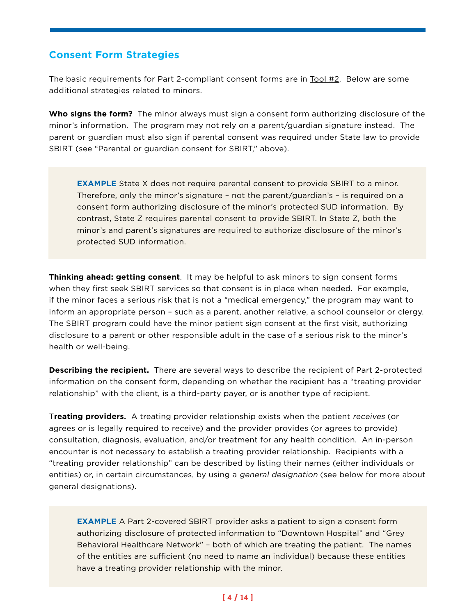### **Consent Form Strategies**

The basic requirements for Part 2-compliant consent forms are in [Tool #2](https://lac.org/wp-content/uploads/2017/03/SBIRT_Tool2.pdf). Below are some additional strategies related to minors.

**Who signs the form?** The minor always must sign a consent form authorizing disclosure of the minor's information. The program may not rely on a parent/guardian signature instead. The parent or guardian must also sign if parental consent was required under State law to provide SBIRT (see "Parental or guardian consent for SBIRT," above).

**EXAMPLE** State X does not require parental consent to provide SBIRT to a minor. Therefore, only the minor's signature – not the parent/guardian's – is required on a consent form authorizing disclosure of the minor's protected SUD information. By contrast, State Z requires parental consent to provide SBIRT. In State Z, both the minor's and parent's signatures are required to authorize disclosure of the minor's protected SUD information.

**Thinking ahead: getting consent**. It may be helpful to ask minors to sign consent forms when they first seek SBIRT services so that consent is in place when needed. For example, if the minor faces a serious risk that is not a "medical emergency," the program may want to inform an appropriate person – such as a parent, another relative, a school counselor or clergy. The SBIRT program could have the minor patient sign consent at the first visit, authorizing disclosure to a parent or other responsible adult in the case of a serious risk to the minor's health or well-being.

**Describing the recipient.** There are several ways to describe the recipient of Part 2-protected information on the consent form, depending on whether the recipient has a "treating provider relationship" with the client, is a third-party payer, or is another type of recipient.

T**reating providers.** A treating provider relationship exists when the patient receives (or agrees or is legally required to receive) and the provider provides (or agrees to provide) consultation, diagnosis, evaluation, and/or treatment for any health condition. An in-person encounter is not necessary to establish a treating provider relationship. Recipients with a "treating provider relationship" can be described by listing their names (either individuals or entities) or, in certain circumstances, by using a general designation (see below for more about general designations).

 **EXAMPLE** A Part 2-covered SBIRT provider asks a patient to sign a consent form authorizing disclosure of protected information to "Downtown Hospital" and "Grey Behavioral Healthcare Network" – both of which are treating the patient. The names of the entities are sufficient (no need to name an individual) because these entities have a treating provider relationship with the minor.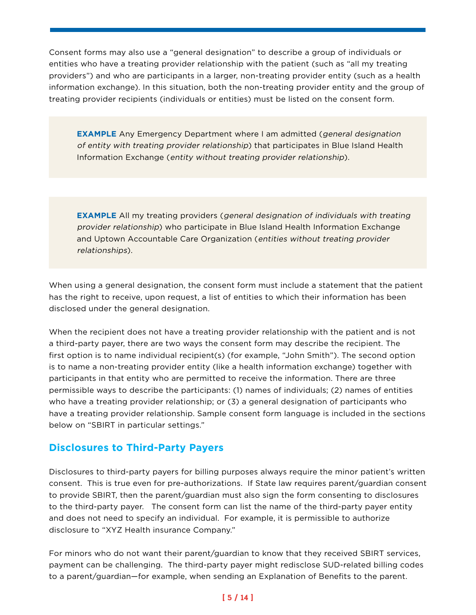Consent forms may also use a "general designation" to describe a group of individuals or entities who have a treating provider relationship with the patient (such as "all my treating providers") and who are participants in a larger, non-treating provider entity (such as a health information exchange). In this situation, both the non-treating provider entity and the group of treating provider recipients (individuals or entities) must be listed on the consent form.

**EXAMPLE** Any Emergency Department where I am admitted (*general designation*) of entity with treating provider relationship) that participates in Blue Island Health Information Exchange (entity without treating provider relationship).

 **EXAMPLE** All my treating providers (general designation of individuals with treating provider relationship) who participate in Blue Island Health Information Exchange and Uptown Accountable Care Organization (entities without treating provider relationships).

When using a general designation, the consent form must include a statement that the patient has the right to receive, upon request, a list of entities to which their information has been disclosed under the general designation.

When the recipient does not have a treating provider relationship with the patient and is not a third-party payer, there are two ways the consent form may describe the recipient. The first option is to name individual recipient(s) (for example, "John Smith"). The second option is to name a non-treating provider entity (like a health information exchange) together with participants in that entity who are permitted to receive the information. There are three permissible ways to describe the participants: (1) names of individuals; (2) names of entities who have a treating provider relationship; or (3) a general designation of participants who have a treating provider relationship. Sample consent form language is included in the sections below on "SBIRT in particular settings."

### **Disclosures to Third-Party Payers**

Disclosures to third-party payers for billing purposes always require the minor patient's written consent. This is true even for pre-authorizations. If State law requires parent/guardian consent to provide SBIRT, then the parent/guardian must also sign the form consenting to disclosures to the third-party payer. The consent form can list the name of the third-party payer entity and does not need to specify an individual. For example, it is permissible to authorize disclosure to "XYZ Health insurance Company."

For minors who do not want their parent/guardian to know that they received SBIRT services, payment can be challenging. The third-party payer might redisclose SUD-related billing codes to a parent/guardian—for example, when sending an Explanation of Benefits to the parent.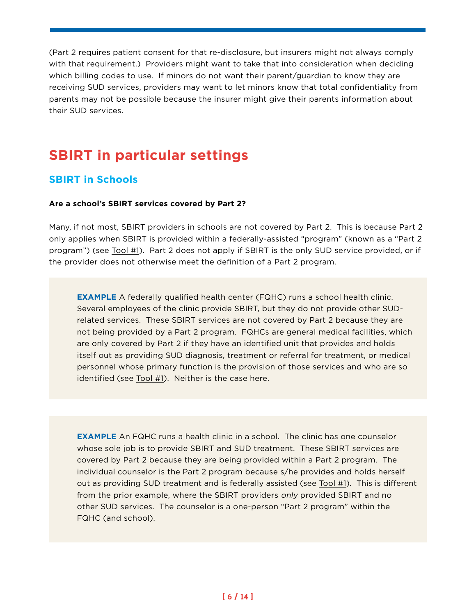(Part 2 requires patient consent for that re-disclosure, but insurers might not always comply with that requirement.) Providers might want to take that into consideration when deciding which billing codes to use. If minors do not want their parent/guardian to know they are receiving SUD services, providers may want to let minors know that total confidentiality from parents may not be possible because the insurer might give their parents information about their SUD services.

## **SBIRT in particular settings**

### **SBIRT in Schools**

#### **Are a school's SBIRT services covered by Part 2?**

Many, if not most, SBIRT providers in schools are not covered by Part 2. This is because Part 2 only applies when SBIRT is provided within a federally-assisted "program" (known as a "Part 2 program") (see <u>[Tool #1](https://lac.org/wp-content/uploads/2016/11/SBIRT_Tool1_FactSheet-1.pdf)</u>). Part 2 does not apply if SBIRT is the only SUD service provided, or if the provider does not otherwise meet the definition of a Part 2 program.

**EXAMPLE** A federally qualified health center (FQHC) runs a school health clinic. Several employees of the clinic provide SBIRT, but they do not provide other SUDrelated services. These SBIRT services are not covered by Part 2 because they are not being provided by a Part 2 program. FQHCs are general medical facilities, which are only covered by Part 2 if they have an identified unit that provides and holds itself out as providing SUD diagnosis, treatment or referral for treatment, or medical personnel whose primary function is the provision of those services and who are so identified (see [Tool #1\)](https://lac.org/wp-content/uploads/2016/11/SBIRT_Tool1_FactSheet-1.pdf). Neither is the case here.

**EXAMPLE** An FQHC runs a health clinic in a school. The clinic has one counselor whose sole job is to provide SBIRT and SUD treatment. These SBIRT services are covered by Part 2 because they are being provided within a Part 2 program. The individual counselor is the Part 2 program because s/he provides and holds herself out as providing SUD treatment and is federally assisted (see [Tool #1\)](https://lac.org/wp-content/uploads/2016/11/SBIRT_Tool1_FactSheet-1.pdf). This is different from the prior example, where the SBIRT providers only provided SBIRT and no other SUD services. The counselor is a one-person "Part 2 program" within the FQHC (and school).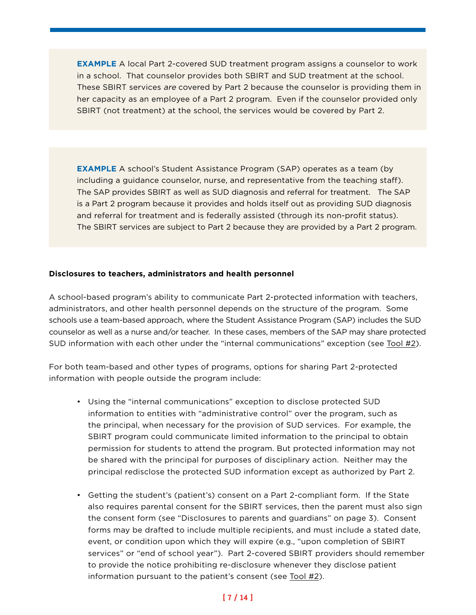**EXAMPLE** A local Part 2-covered SUD treatment program assigns a counselor to work in a school. That counselor provides both SBIRT and SUD treatment at the school. These SBIRT services are covered by Part 2 because the counselor is providing them in her capacity as an employee of a Part 2 program. Even if the counselor provided only SBIRT (not treatment) at the school, the services would be covered by Part 2.

**EXAMPLE** A school's Student Assistance Program (SAP) operates as a team (by including a guidance counselor, nurse, and representative from the teaching staff). The SAP provides SBIRT as well as SUD diagnosis and referral for treatment. The SAP is a Part 2 program because it provides and holds itself out as providing SUD diagnosis and referral for treatment and is federally assisted (through its non-profit status). The SBIRT services are subject to Part 2 because they are provided by a Part 2 program.

#### **Disclosures to teachers, administrators and health personnel**

A school-based program's ability to communicate Part 2-protected information with teachers, administrators, and other health personnel depends on the structure of the program. Some schools use a team-based approach, where the Student Assistance Program (SAP) includes the SUD counselor as well as a nurse and/or teacher. In these cases, members of the SAP may share protected SUD information with each other under the "internal communications" exception (see [Tool #2\)](https://lac.org/wp-content/uploads/2017/03/SBIRT_Tool2.pdf).

For both team-based and other types of programs, options for sharing Part 2-protected information with people outside the program include:

- Using the "internal communications" exception to disclose protected SUD information to entities with "administrative control" over the program, such as the principal, when necessary for the provision of SUD services. For example, the SBIRT program could communicate limited information to the principal to obtain permission for students to attend the program. But protected information may not be shared with the principal for purposes of disciplinary action. Neither may the principal redisclose the protected SUD information except as authorized by Part 2.
- Getting the student's (patient's) consent on a Part 2-compliant form. If the State also requires parental consent for the SBIRT services, then the parent must also sign the consent form (see "Disclosures to parents and guardians" on page 3). Consent forms may be drafted to include multiple recipients, and must include a stated date, event, or condition upon which they will expire (e.g., "upon completion of SBIRT services" or "end of school year"). Part 2-covered SBIRT providers should remember to provide the notice prohibiting re-disclosure whenever they disclose patient information pursuant to the patient's consent (see [Tool #2](https://lac.org/wp-content/uploads/2017/03/SBIRT_Tool2.pdf)).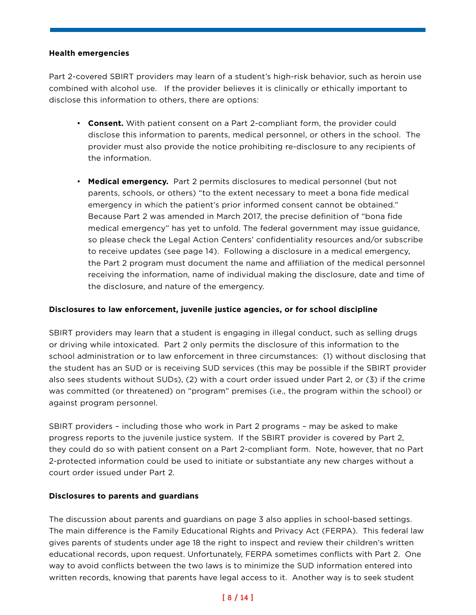#### **Health emergencies**

Part 2-covered SBIRT providers may learn of a student's high-risk behavior, such as heroin use combined with alcohol use. If the provider believes it is clinically or ethically important to disclose this information to others, there are options:

- **Consent.** With patient consent on a Part 2-compliant form, the provider could disclose this information to parents, medical personnel, or others in the school. The provider must also provide the notice prohibiting re-disclosure to any recipients of the information.
- **Medical emergency.** Part 2 permits disclosures to medical personnel (but not parents, schools, or others) "to the extent necessary to meet a bona fide medical emergency in which the patient's prior informed consent cannot be obtained." Because Part 2 was amended in March 2017, the precise definition of "bona fide medical emergency" has yet to unfold. The federal government may issue guidance, so please check the Legal Action Centers' confidentiality resources and/or subscribe to receive updates (see page 14). Following a disclosure in a medical emergency, the Part 2 program must document the name and affiliation of the medical personnel receiving the information, name of individual making the disclosure, date and time of the disclosure, and nature of the emergency.

#### **Disclosures to law enforcement, juvenile justice agencies, or for school discipline**

SBIRT providers may learn that a student is engaging in illegal conduct, such as selling drugs or driving while intoxicated. Part 2 only permits the disclosure of this information to the school administration or to law enforcement in three circumstances: (1) without disclosing that the student has an SUD or is receiving SUD services (this may be possible if the SBIRT provider also sees students without SUDs), (2) with a court order issued under Part 2, or (3) if the crime was committed (or threatened) on "program" premises (i.e., the program within the school) or against program personnel.

SBIRT providers – including those who work in Part 2 programs – may be asked to make progress reports to the juvenile justice system. If the SBIRT provider is covered by Part 2, they could do so with patient consent on a Part 2-compliant form. Note, however, that no Part 2-protected information could be used to initiate or substantiate any new charges without a court order issued under Part 2.

#### **Disclosures to parents and guardians**

The discussion about parents and guardians on page 3 also applies in school-based settings. The main difference is the Family Educational Rights and Privacy Act (FERPA). This federal law gives parents of students under age 18 the right to inspect and review their children's written educational records, upon request. Unfortunately, FERPA sometimes conflicts with Part 2. One way to avoid conflicts between the two laws is to minimize the SUD information entered into written records, knowing that parents have legal access to it. Another way is to seek student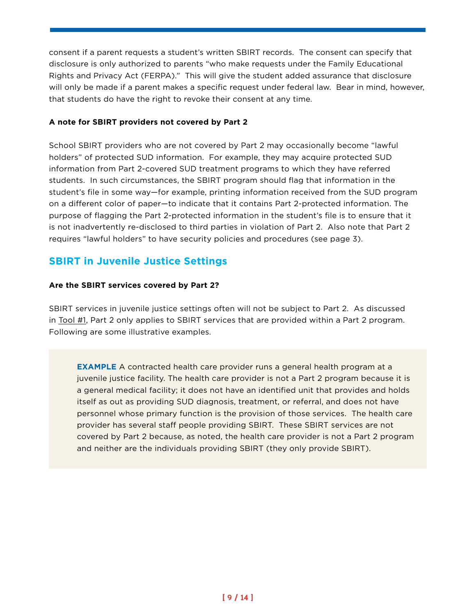consent if a parent requests a student's written SBIRT records. The consent can specify that disclosure is only authorized to parents "who make requests under the Family Educational Rights and Privacy Act (FERPA)." This will give the student added assurance that disclosure will only be made if a parent makes a specific request under federal law. Bear in mind, however, that students do have the right to revoke their consent at any time.

#### **A note for SBIRT providers not covered by Part 2**

School SBIRT providers who are not covered by Part 2 may occasionally become "lawful holders" of protected SUD information. For example, they may acquire protected SUD information from Part 2-covered SUD treatment programs to which they have referred students. In such circumstances, the SBIRT program should flag that information in the student's file in some way—for example, printing information received from the SUD program on a different color of paper—to indicate that it contains Part 2-protected information. The purpose of flagging the Part 2-protected information in the student's file is to ensure that it is not inadvertently re-disclosed to third parties in violation of Part 2. Also note that Part 2 requires "lawful holders" to have security policies and procedures (see page 3).

## **SBIRT in Juvenile Justice Settings**

#### **Are the SBIRT services covered by Part 2?**

SBIRT services in juvenile justice settings often will not be subject to Part 2. As discussed in [Tool #1,](https://lac.org/wp-content/uploads/2016/11/SBIRT_Tool1_FactSheet-1.pdf) Part 2 only applies to SBIRT services that are provided within a Part 2 program. Following are some illustrative examples.

 **EXAMPLE** A contracted health care provider runs a general health program at a juvenile justice facility. The health care provider is not a Part 2 program because it is a general medical facility; it does not have an identified unit that provides and holds itself as out as providing SUD diagnosis, treatment, or referral, and does not have personnel whose primary function is the provision of those services. The health care provider has several staff people providing SBIRT. These SBIRT services are not covered by Part 2 because, as noted, the health care provider is not a Part 2 program and neither are the individuals providing SBIRT (they only provide SBIRT).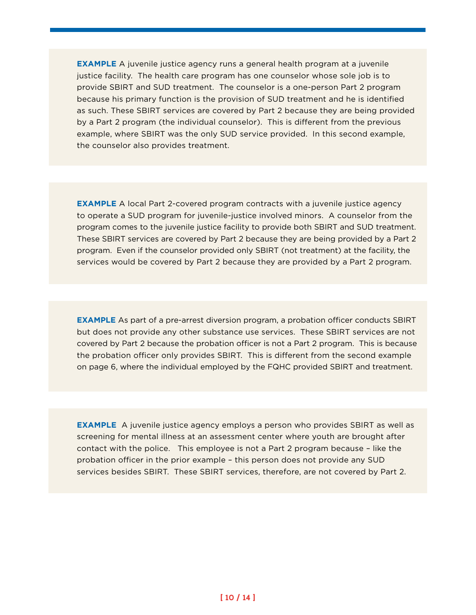**EXAMPLE** A juvenile justice agency runs a general health program at a juvenile justice facility. The health care program has one counselor whose sole job is to provide SBIRT and SUD treatment. The counselor is a one-person Part 2 program because his primary function is the provision of SUD treatment and he is identified as such. These SBIRT services are covered by Part 2 because they are being provided by a Part 2 program (the individual counselor). This is different from the previous example, where SBIRT was the only SUD service provided. In this second example, the counselor also provides treatment.

 **EXAMPLE** A local Part 2-covered program contracts with a juvenile justice agency to operate a SUD program for juvenile-justice involved minors. A counselor from the program comes to the juvenile justice facility to provide both SBIRT and SUD treatment. These SBIRT services are covered by Part 2 because they are being provided by a Part 2 program. Even if the counselor provided only SBIRT (not treatment) at the facility, the services would be covered by Part 2 because they are provided by a Part 2 program.

 **EXAMPLE** As part of a pre-arrest diversion program, a probation officer conducts SBIRT but does not provide any other substance use services. These SBIRT services are not covered by Part 2 because the probation officer is not a Part 2 program. This is because the probation officer only provides SBIRT. This is different from the second example on page 6, where the individual employed by the FQHC provided SBIRT and treatment.

 **EXAMPLE** A juvenile justice agency employs a person who provides SBIRT as well as screening for mental illness at an assessment center where youth are brought after contact with the police. This employee is not a Part 2 program because – like the probation officer in the prior example – this person does not provide any SUD services besides SBIRT. These SBIRT services, therefore, are not covered by Part 2.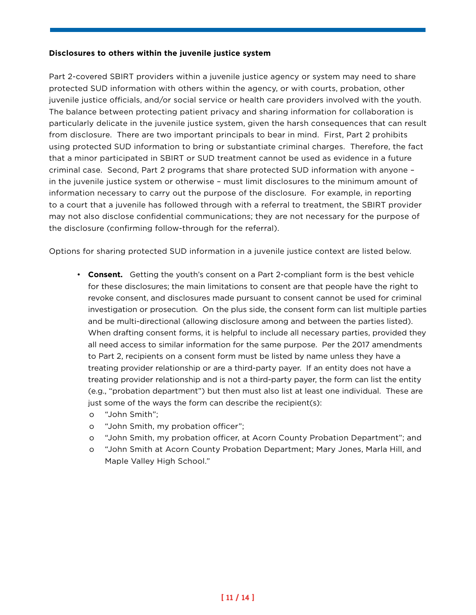#### **Disclosures to others within the juvenile justice system**

Part 2-covered SBIRT providers within a juvenile justice agency or system may need to share protected SUD information with others within the agency, or with courts, probation, other juvenile justice officials, and/or social service or health care providers involved with the youth. The balance between protecting patient privacy and sharing information for collaboration is particularly delicate in the juvenile justice system, given the harsh consequences that can result from disclosure. There are two important principals to bear in mind. First, Part 2 prohibits using protected SUD information to bring or substantiate criminal charges. Therefore, the fact that a minor participated in SBIRT or SUD treatment cannot be used as evidence in a future criminal case. Second, Part 2 programs that share protected SUD information with anyone – in the juvenile justice system or otherwise – must limit disclosures to the minimum amount of information necessary to carry out the purpose of the disclosure. For example, in reporting to a court that a juvenile has followed through with a referral to treatment, the SBIRT provider may not also disclose confidential communications; they are not necessary for the purpose of the disclosure (confirming follow-through for the referral).

Options for sharing protected SUD information in a juvenile justice context are listed below.

- **Consent.** Getting the youth's consent on a Part 2-compliant form is the best vehicle for these disclosures; the main limitations to consent are that people have the right to revoke consent, and disclosures made pursuant to consent cannot be used for criminal investigation or prosecution. On the plus side, the consent form can list multiple parties and be multi-directional (allowing disclosure among and between the parties listed). When drafting consent forms, it is helpful to include all necessary parties, provided they all need access to similar information for the same purpose. Per the 2017 amendments to Part 2, recipients on a consent form must be listed by name unless they have a treating provider relationship or are a third-party payer. If an entity does not have a treating provider relationship and is not a third-party payer, the form can list the entity (e.g., "probation department") but then must also list at least one individual. These are just some of the ways the form can describe the recipient(s):
	- o "John Smith";
	- o "John Smith, my probation officer";
	- o "John Smith, my probation officer, at Acorn County Probation Department"; and
	- o "John Smith at Acorn County Probation Department; Mary Jones, Marla Hill, and Maple Valley High School."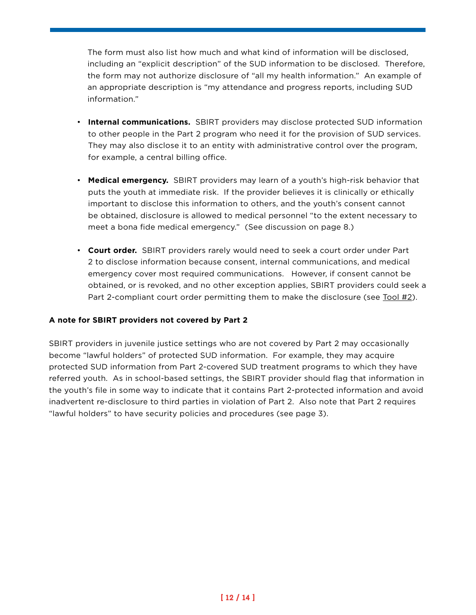The form must also list how much and what kind of information will be disclosed, including an "explicit description" of the SUD information to be disclosed. Therefore, the form may not authorize disclosure of "all my health information." An example of an appropriate description is "my attendance and progress reports, including SUD information."

- **Internal communications.** SBIRT providers may disclose protected SUD information to other people in the Part 2 program who need it for the provision of SUD services. They may also disclose it to an entity with administrative control over the program, for example, a central billing office.
- **Medical emergency.** SBIRT providers may learn of a youth's high-risk behavior that puts the youth at immediate risk. If the provider believes it is clinically or ethically important to disclose this information to others, and the youth's consent cannot be obtained, disclosure is allowed to medical personnel "to the extent necessary to meet a bona fide medical emergency." (See discussion on page 8.)
- **Court order.** SBIRT providers rarely would need to seek a court order under Part 2 to disclose information because consent, internal communications, and medical emergency cover most required communications. However, if consent cannot be obtained, or is revoked, and no other exception applies, SBIRT providers could seek a Part 2-compliant court order permitting them to make the disclosure (see [Tool #2](https://lac.org/wp-content/uploads/2017/03/SBIRT_Tool2.pdf)).

#### **A note for SBIRT providers not covered by Part 2**

SBIRT providers in juvenile justice settings who are not covered by Part 2 may occasionally become "lawful holders" of protected SUD information. For example, they may acquire protected SUD information from Part 2-covered SUD treatment programs to which they have referred youth. As in school-based settings, the SBIRT provider should flag that information in the youth's file in some way to indicate that it contains Part 2-protected information and avoid inadvertent re-disclosure to third parties in violation of Part 2. Also note that Part 2 requires "lawful holders" to have security policies and procedures (see page 3).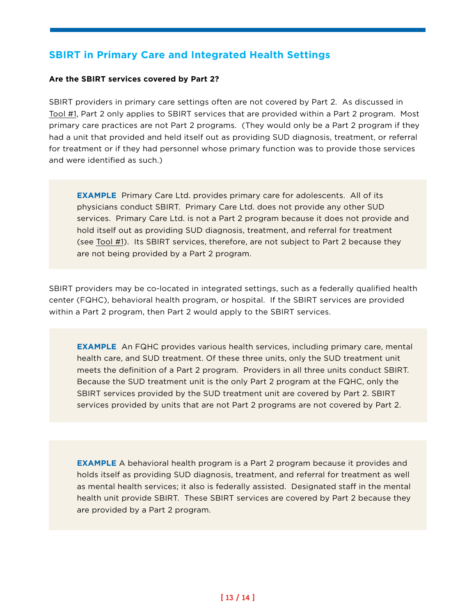## **SBIRT in Primary Care and Integrated Health Settings**

#### **Are the SBIRT services covered by Part 2?**

SBIRT providers in primary care settings often are not covered by Part 2. As discussed in [Tool #1](https://lac.org/wp-content/uploads/2016/11/SBIRT_Tool1_FactSheet-1.pdf), Part 2 only applies to SBIRT services that are provided within a Part 2 program. Most primary care practices are not Part 2 programs. (They would only be a Part 2 program if they had a unit that provided and held itself out as providing SUD diagnosis, treatment, or referral for treatment or if they had personnel whose primary function was to provide those services and were identified as such.)

 **EXAMPLE** Primary Care Ltd. provides primary care for adolescents. All of its physicians conduct SBIRT. Primary Care Ltd. does not provide any other SUD services. Primary Care Ltd. is not a Part 2 program because it does not provide and hold itself out as providing SUD diagnosis, treatment, and referral for treatment (see [Tool #1](https://lac.org/wp-content/uploads/2016/11/SBIRT_Tool1_FactSheet-1.pdf)). Its SBIRT services, therefore, are not subject to Part 2 because they are not being provided by a Part 2 program.

SBIRT providers may be co-located in integrated settings, such as a federally qualified health center (FQHC), behavioral health program, or hospital. If the SBIRT services are provided within a Part 2 program, then Part 2 would apply to the SBIRT services.

 **EXAMPLE** An FQHC provides various health services, including primary care, mental health care, and SUD treatment. Of these three units, only the SUD treatment unit meets the definition of a Part 2 program. Providers in all three units conduct SBIRT. Because the SUD treatment unit is the only Part 2 program at the FQHC, only the SBIRT services provided by the SUD treatment unit are covered by Part 2. SBIRT services provided by units that are not Part 2 programs are not covered by Part 2.

**EXAMPLE** A behavioral health program is a Part 2 program because it provides and holds itself as providing SUD diagnosis, treatment, and referral for treatment as well as mental health services; it also is federally assisted. Designated staff in the mental health unit provide SBIRT. These SBIRT services are covered by Part 2 because they are provided by a Part 2 program.